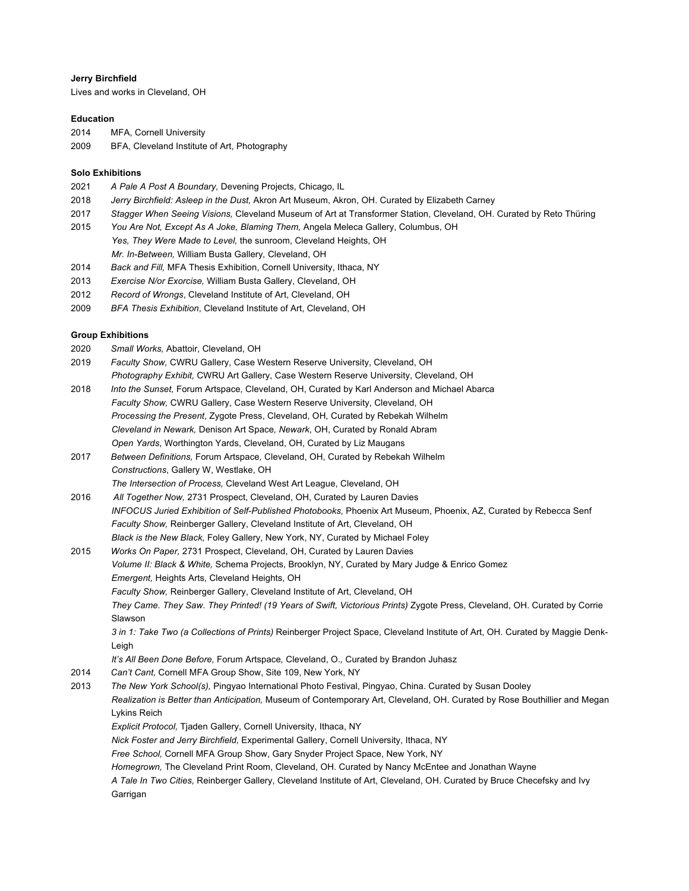#### **Jerry Birchfield**

Lives and works in Cleveland, OH

#### **Education**

2014 MFA, Cornell University

2009 BFA, Cleveland Institute of Art, Photography

### **Solo Exhibitions**

- 2021 *A Pale A Post A Boundary,* Devening Projects, Chicago, IL
- 2018 *Jerry Birchfield: Asleep in the Dust,* Akron Art Museum, Akron, OH. Curated by Elizabeth Carney
- 2017 *Stagger When Seeing Visions,* Cleveland Museum of Art at Transformer Station, Cleveland, OH. Curated by Reto Thüring
- 2015 *You Are Not, Except As A Joke, Blaming Them,* Angela Meleca Gallery, Columbus, OH *Yes, They Were Made to Level,* the sunroom, Cleveland Heights, OH *Mr. In-Between,* William Busta Gallery*,* Cleveland, OH
- 2014 *Back and Fill,* MFA Thesis Exhibition, Cornell University, Ithaca, NY
- 2013 *Exercise N/or Exorcise,* William Busta Gallery, Cleveland, OH
- 2012 *Record of Wrongs*, Cleveland Institute of Art, Cleveland, OH
- 2009 *BFA Thesis Exhibition*, Cleveland Institute of Art, Cleveland, OH

#### **Group Exhibitions**

- 2020 *Small Works,* Abattoir, Cleveland, OH
- 2019 *Faculty Show,* CWRU Gallery, Case Western Reserve University, Cleveland, OH *Photography Exhibit,* CWRU Art Gallery, Case Western Reserve University, Cleveland, OH
- 2018 *Into the Sunset,* Forum Artspace*,* Cleveland, OH, Curated by Karl Anderson and Michael Abarca  *Faculty Show,* CWRU Gallery, Case Western Reserve University, Cleveland, OH  *Processing the Present*, Zygote Press, Cleveland, OH*,* Curated by Rebekah Wilhelm  *Cleveland in Newark,* Denison Art Space*, Newark*, OH, Curated by Ronald Abram *Open Yards*, Worthington Yards, Cleveland, OH, Curated by Liz Maugans
- 2017 *Between Definitions,* Forum Artspace*,* Cleveland, OH, Curated by Rebekah Wilhelm *Constructions*, Gallery W, Westlake, OH
- *The Intersection of Process,* Cleveland West Art League, Cleveland, OH
- 2016 *All Together Now,* 2731 Prospect, Cleveland, OH, Curated by Lauren Davies  *INFOCUS Juried Exhibition of Self-Published Photobooks,* Phoenix Art Museum, Phoenix, AZ, Curated by Rebecca Senf  *Faculty Show,* Reinberger Gallery, Cleveland Institute of Art, Cleveland, OH  *Black is the New Black,* Foley Gallery, New York, NY, Curated by Michael Foley
- 2015 *Works On Paper,* 2731 Prospect, Cleveland, OH, Curated by Lauren Davies *Volume II: Black & White,* Schema Projects, Brooklyn, NY, Curated by Mary Judge & Enrico Gomez  *Emergent,* Heights Arts, Cleveland Heights, OH  *Faculty Show,* Reinberger Gallery, Cleveland Institute of Art, Cleveland, OH  *They Came. They Saw. They Printed! (19 Years of Swift, Victorious Prints)* Zygote Press, Cleveland, OH. Curated by Corrie Slawson

 *3 in 1: Take Two (a Collections of Prints)* Reinberger Project Space, Cleveland Institute of Art, OH. Curated by Maggie Denk-Leigh

- *It's All Been Done Before,* Forum Artspace*,* Cleveland, O.*,* Curated by Brandon Juhasz
- 2014 *Can't Cant,* Cornell MFA Group Show, Site 109, New York, NY
- 2013 *The New York School(s),* Pingyao International Photo Festival, Pingyao, China. Curated by Susan Dooley *Realization is Better than Anticipation,* Museum of Contemporary Art, Cleveland, OH. Curated by Rose Bouthillier and Megan Lykins Reich  *Explicit Protocol,* Tjaden Gallery, Cornell University, Ithaca, NY  *Nick Foster and Jerry Birchfield,* Experimental Gallery, Cornell University, Ithaca, NY  *Free School,* Cornell MFA Group Show, Gary Snyder Project Space, New York, NY  *Homegrown,* The Cleveland Print Room, Cleveland, OH. Curated by Nancy McEntee and Jonathan Wayne  *A Tale In Two Cities,* Reinberger Gallery, Cleveland Institute of Art, Cleveland, OH. Curated by Bruce Checefsky and Ivy Garrigan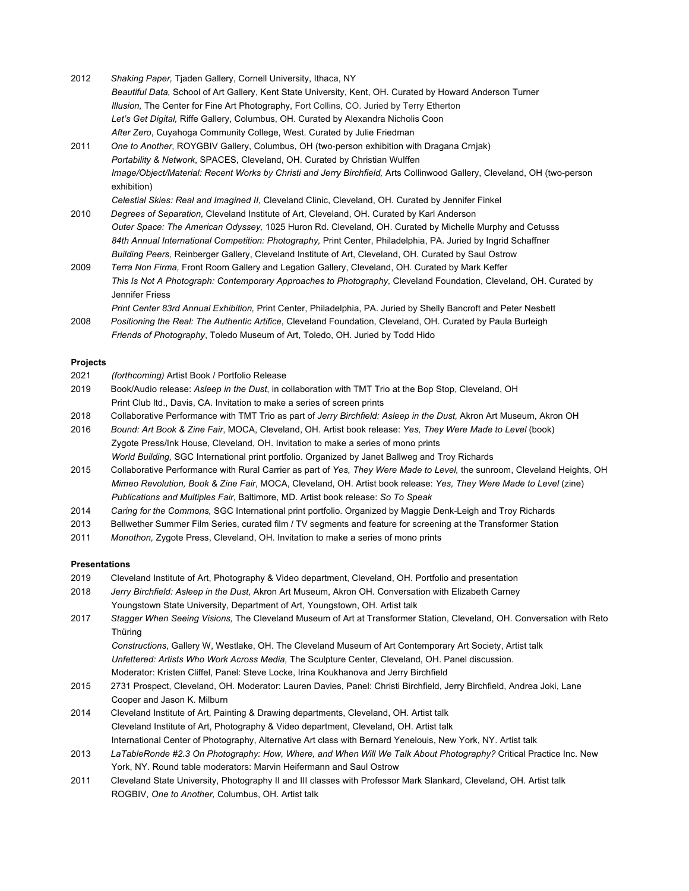2012 *Shaking Paper,* Tjaden Gallery, Cornell University, Ithaca, NY *Beautiful Data,* School of Art Gallery, Kent State University, Kent, OH. Curated by Howard Anderson Turner *Illusion,* The Center for Fine Art Photography, Fort Collins, CO. Juried by Terry Etherton *Let's Get Digital,* Riffe Gallery, Columbus, OH. Curated by Alexandra Nicholis Coon  *After Zero*, Cuyahoga Community College, West. Curated by Julie Friedman

2011 *One to Another*, ROYGBIV Gallery, Columbus, OH (two-person exhibition with Dragana Crnjak)  *Portability & Network*, SPACES, Cleveland, OH. Curated by Christian Wulffen  *Image/Object/Material: Recent Works by Christi and Jerry Birchfield,* Arts Collinwood Gallery, Cleveland, OH (two-person exhibition)

 *Celestial Skies: Real and Imagined II,* Cleveland Clinic, Cleveland, OH. Curated by Jennifer Finkel

- 2010 *Degrees of Separation,* Cleveland Institute of Art, Cleveland, OH. Curated by Karl Anderson  *Outer Space: The American Odyssey,* 1025 Huron Rd. Cleveland, OH. Curated by Michelle Murphy and Cetusss  *84th Annual International Competition: Photography,* Print Center, Philadelphia, PA. Juried by Ingrid Schaffner  *Building Peers,* Reinberger Gallery, Cleveland Institute of Art, Cleveland, OH. Curated by Saul Ostrow
- 2009 *Terra Non Firma,* Front Room Gallery and Legation Gallery, Cleveland, OH. Curated by Mark Keffer  *This Is Not A Photograph: Contemporary Approaches to Photography,* Cleveland Foundation, Cleveland, OH. Curated by Jennifer Friess
- *Print Center 83rd Annual Exhibition,* Print Center, Philadelphia, PA. Juried by Shelly Bancroft and Peter Nesbett 2008 *Positioning the Real: The Authentic Artifice*, Cleveland Foundation, Cleveland, OH. Curated by Paula Burleigh  *Friends of Photography*, Toledo Museum of Art, Toledo, OH. Juried by Todd Hido

## **Projects**

- 2021 *(forthcoming)* Artist Book / Portfolio Release
- 2019 Book/Audio release: *Asleep in the Dust*, in collaboration with TMT Trio at the Bop Stop, Cleveland, OH Print Club ltd., Davis, CA. Invitation to make a series of screen prints
- 2018 Collaborative Performance with TMT Trio as part of *Jerry Birchfield: Asleep in the Dust,* Akron Art Museum, Akron OH
- 2016 *Bound: Art Book & Zine Fair*, MOCA, Cleveland, OH. Artist book release: *Yes, They Were Made to Level* (book) Zygote Press/Ink House, Cleveland, OH. Invitation to make a series of mono prints
	- *World Building,* SGC International print portfolio. Organized by Janet Ballweg and Troy Richards
- 2015 Collaborative Performance with Rural Carrier as part of *Yes, They Were Made to Level,* the sunroom, Cleveland Heights, OH *Mimeo Revolution, Book & Zine Fair*, MOCA, Cleveland, OH. Artist book release: *Yes, They Were Made to Level* (zine) *Publications and Multiples Fair*, Baltimore, MD. Artist book release: *So To Speak*
- 2014 *Caring for the Commons,* SGC International print portfolio. Organized by Maggie Denk-Leigh and Troy Richards
- 2013 Bellwether Summer Film Series, curated film / TV segments and feature for screening at the Transformer Station
- 2011*Monothon,* Zygote Press, Cleveland, OH. Invitation to make a series of mono prints

## **Presentations**

- 2019 Cleveland Institute of Art, Photography & Video department, Cleveland, OH. Portfolio and presentation
- 2018 *Jerry Birchfield: Asleep in the Dust,* Akron Art Museum, Akron OH*.* Conversation with Elizabeth Carney Youngstown State University, Department of Art, Youngstown, OH. Artist talk
- 2017 *Stagger When Seeing Visions,* The Cleveland Museum of Art at Transformer Station, Cleveland, OH. Conversation with Reto Thüring
	- *Constructions*, Gallery W, Westlake, OH. The Cleveland Museum of Art Contemporary Art Society, Artist talk *Unfettered: Artists Who Work Across Media,* The Sculpture Center, Cleveland, OH. Panel discussion. Moderator: Kristen Cliffel, Panel: Steve Locke, Irina Koukhanova and Jerry Birchfield
- 2015 2731 Prospect, Cleveland, OH. Moderator: Lauren Davies, Panel: Christi Birchfield, Jerry Birchfield, Andrea Joki, Lane Cooper and Jason K. Milburn
- 2014 Cleveland Institute of Art, Painting & Drawing departments, Cleveland, OH. Artist talk Cleveland Institute of Art, Photography & Video department, Cleveland, OH. Artist talk International Center of Photography, Alternative Art class with Bernard Yenelouis, New York, NY. Artist talk
- 2013 *LaTableRonde #2.3 On Photography: How, Where, and When Will We Talk About Photography?* Critical Practice Inc. New York, NY. Round table moderators: Marvin Heifermann and Saul Ostrow
- 2011 Cleveland State University, Photography II and III classes with Professor Mark Slankard, Cleveland, OH. Artist talk ROGBIV, *One to Another,* Columbus, OH. Artist talk